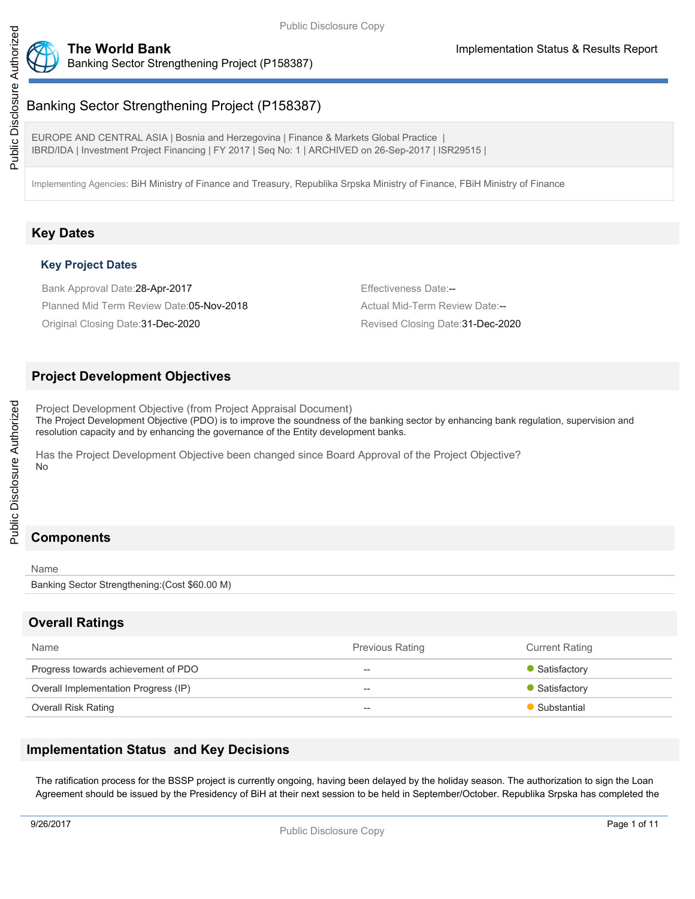

### **The World Bank Implementation Status & Results Report** Banking Sector Strengthening Project (P158387)

EUROPE AND CENTRAL ASIA | Bosnia and Herzegovina | Finance & Markets Global Practice | IBRD/IDA | Investment Project Financing | FY 2017 | Seq No: 1 | ARCHIVED on 26-Sep-2017 | ISR29515 |

Implementing Agencies: BiH Ministry of Finance and Treasury, Republika Srpska Ministry of Finance, FBiH Ministry of Finance

# **Key Dates**

### **Key Project Dates**

Bank Approval Date: 28-Apr-2017 **Effectiveness Date:** Figure 28-Apr-2017 Planned Mid Term Review Date:05-Nov-2018 Actual Mid-Term Review Date:--

Original Closing Date: 31-Dec-2020 **Revised Closing Date: 31-Dec-2020** Revised Closing Date: 31-Dec-2020

### **Project Development Objectives**

Project Development Objective (from Project Appraisal Document) The Project Development Objective (PDO) is to improve the soundness of the banking sector by enhancing bank regulation, supervision and resolution capacity and by enhancing the governance of the Entity development banks.

Has the Project Development Objective been changed since Board Approval of the Project Objective? No

# **Components**

#### Name

Banking Sector Strengthening:(Cost \$60.00 M)

# **Overall Ratings**

| Name                                 | <b>Previous Rating</b> | <b>Current Rating</b> |
|--------------------------------------|------------------------|-----------------------|
| Progress towards achievement of PDO  | $\hspace{0.05cm}$      | • Satisfactory        |
| Overall Implementation Progress (IP) | $- -$                  | • Satisfactory        |
| Overall Risk Rating                  | $\hspace{0.05cm}$      | • Substantial         |

# **Implementation Status and Key Decisions**

The ratification process for the BSSP project is currently ongoing, having been delayed by the holiday season. The authorization to sign the Loan Agreement should be issued by the Presidency of BiH at their next session to be held in September/October. Republika Srpska has completed the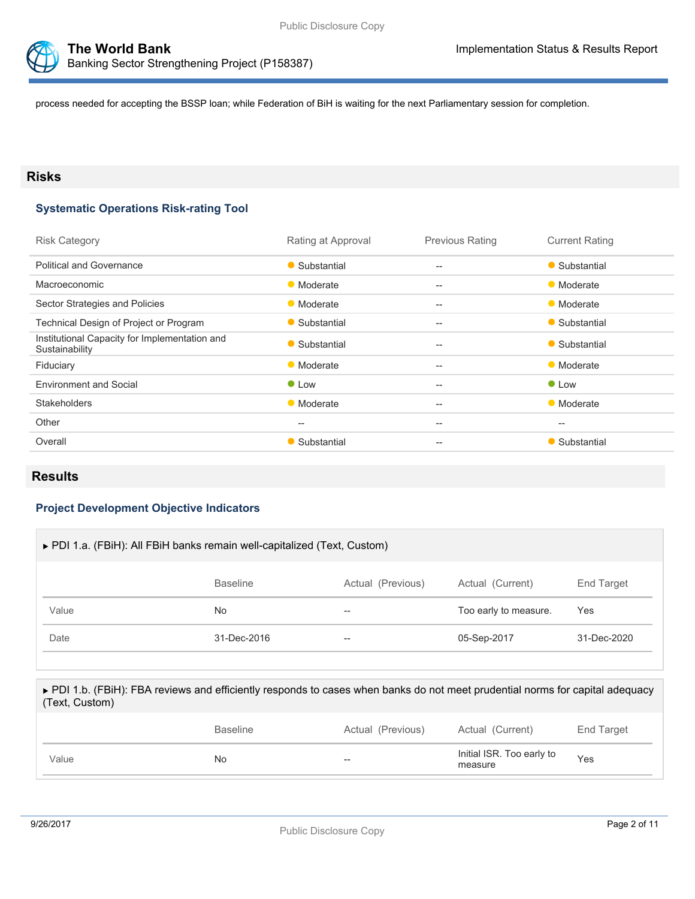



process needed for accepting the BSSP loan; while Federation of BiH is waiting for the next Parliamentary session for completion.

### **Risks**

### **Systematic Operations Risk-rating Tool**

| <b>Risk Category</b>                                            | Rating at Approval                                  | <b>Previous Rating</b>                              | <b>Current Rating</b> |
|-----------------------------------------------------------------|-----------------------------------------------------|-----------------------------------------------------|-----------------------|
| <b>Political and Governance</b>                                 | • Substantial                                       | $-$                                                 | • Substantial         |
| Macroeconomic                                                   | • Moderate                                          | $\qquad \qquad -$                                   | • Moderate            |
| Sector Strategies and Policies                                  | • Moderate                                          | $- -$                                               | • Moderate            |
| Technical Design of Project or Program                          | • Substantial                                       | $\hspace{0.05cm} -\hspace{0.05cm} -\hspace{0.05cm}$ | • Substantial         |
| Institutional Capacity for Implementation and<br>Sustainability | • Substantial                                       | $\qquad \qquad -$                                   | • Substantial         |
| Fiduciary                                                       | • Moderate                                          | $- -$                                               | • Moderate            |
| <b>Environment and Social</b>                                   | $\bullet$ Low                                       | $\hspace{0.05cm} -\hspace{0.05cm} -\hspace{0.05cm}$ | $\bullet$ Low         |
| <b>Stakeholders</b>                                             | • Moderate                                          | $\qquad \qquad -$                                   | • Moderate            |
| Other                                                           | $\hspace{0.05cm} -\hspace{0.05cm} -\hspace{0.05cm}$ | $- -$                                               | $- -$                 |
| Overall                                                         | • Substantial                                       | $\hspace{0.05cm} -\hspace{0.05cm} -\hspace{0.05cm}$ | • Substantial         |
|                                                                 |                                                     |                                                     |                       |

### **Results**

### **Project Development Objective Indicators**

| ▶ PDI 1.a. (FBiH): All FBiH banks remain well-capitalized (Text, Custom) |                 |                   |                       |                   |  |
|--------------------------------------------------------------------------|-----------------|-------------------|-----------------------|-------------------|--|
|                                                                          | <b>Baseline</b> | Actual (Previous) | Actual (Current)      | <b>End Target</b> |  |
| Value                                                                    | No              | $- -$             | Too early to measure. | Yes               |  |
| Date                                                                     | 31-Dec-2016     | $- -$             | 05-Sep-2017           | 31-Dec-2020       |  |
|                                                                          |                 |                   |                       |                   |  |

#### ▶ PDI 1.b. (FBiH): FBA reviews and efficiently responds to cases when banks do not meet prudential norms for capital adequacy (Text, Custom)

|       | <b>Baseline</b> | Actual (Previous) | Actual (Current)                     | End Target |
|-------|-----------------|-------------------|--------------------------------------|------------|
| Value | No.             | --                | Initial ISR. Too early to<br>measure | Yes        |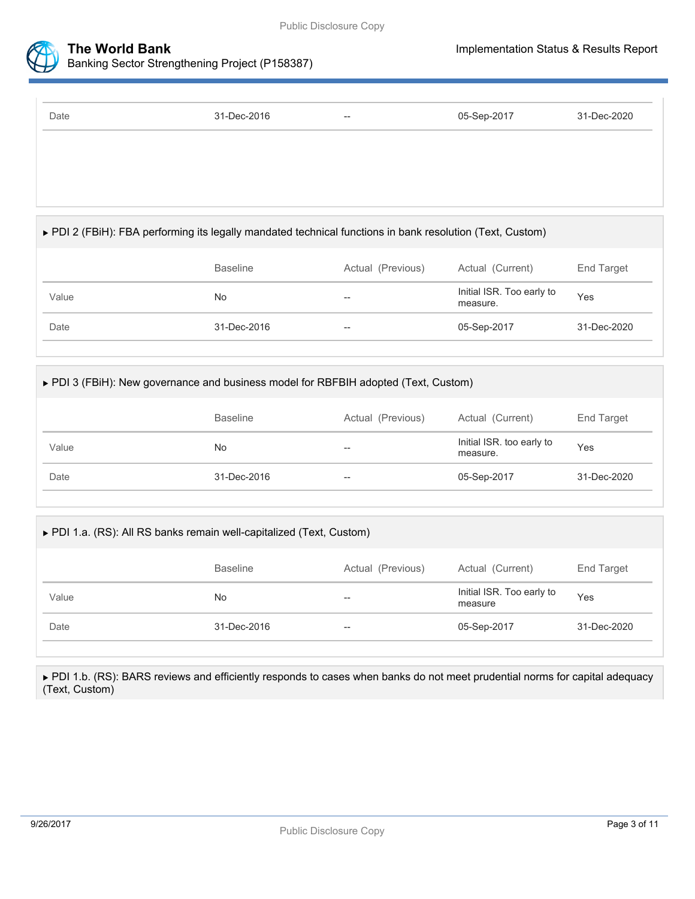

| Date | 31-Dec-2016 | $\hspace{0.05cm} \cdots$ | 05-Sep-2017 | 31-Dec-2020 |
|------|-------------|--------------------------|-------------|-------------|
|      |             |                          |             |             |
|      |             |                          |             |             |
|      |             |                          |             |             |

# PDI 2 (FBiH): FBA performing its legally mandated technical functions in bank resolution (Text, Custom)

|       | <b>Baseline</b> | Actual (Previous) | Actual (Current)                      | End Target  |
|-------|-----------------|-------------------|---------------------------------------|-------------|
| Value | No              | $- -$             | Initial ISR. Too early to<br>measure. | Yes         |
| Date  | 31-Dec-2016     | $- -$             | 05-Sep-2017                           | 31-Dec-2020 |
|       |                 |                   |                                       |             |

### PDI 3 (FBiH): New governance and business model for RBFBIH adopted (Text, Custom)

|       | <b>Baseline</b> | Actual (Previous) | Actual (Current)                      | End Target  |
|-------|-----------------|-------------------|---------------------------------------|-------------|
| Value | No.             | --                | Initial ISR. too early to<br>measure. | Yes         |
| Date  | 31-Dec-2016     | $- -$             | 05-Sep-2017                           | 31-Dec-2020 |

# ▶ PDI 1.a. (RS): All RS banks remain well-capitalized (Text, Custom)

| Value<br>No         | $- -$ | Initial ISR. Too early to<br>measure | Yes         |
|---------------------|-------|--------------------------------------|-------------|
| 31-Dec-2016<br>Date | $- -$ | 05-Sep-2017                          | 31-Dec-2020 |

▶ PDI 1.b. (RS): BARS reviews and efficiently responds to cases when banks do not meet prudential norms for capital adequacy (Text, Custom)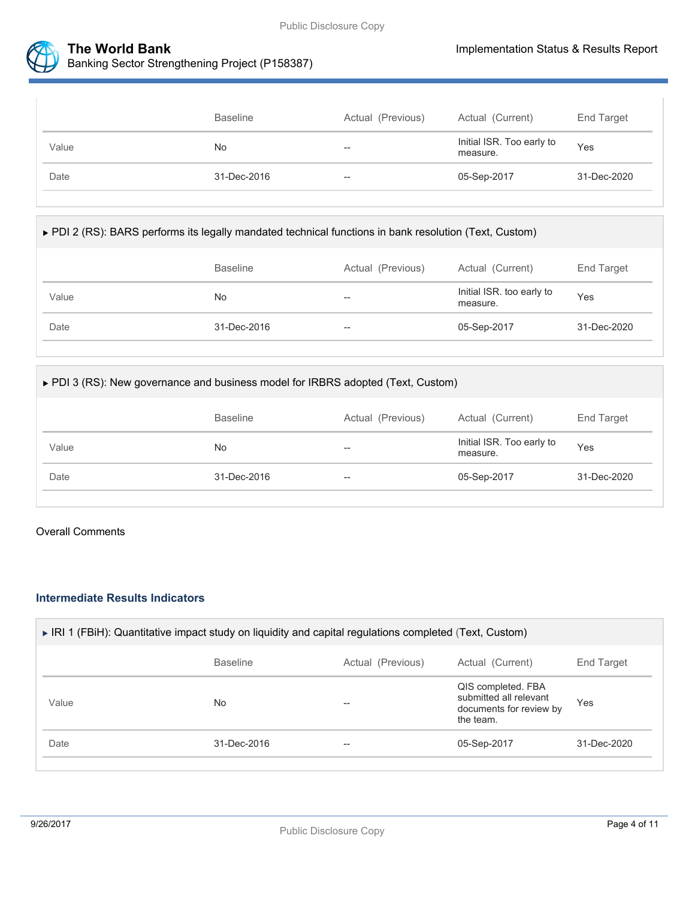



|       | <b>Baseline</b> | Actual (Previous) | Actual (Current)                      | End Target  |
|-------|-----------------|-------------------|---------------------------------------|-------------|
| Value | No              | $- -$             | Initial ISR. Too early to<br>measure. | Yes         |
| Date  | 31-Dec-2016     | $- -$             | 05-Sep-2017                           | 31-Dec-2020 |

|  |  |  |  | ▶ PDI 2 (RS): BARS performs its legally mandated technical functions in bank resolution (Text, Custom) |
|--|--|--|--|--------------------------------------------------------------------------------------------------------|
|--|--|--|--|--------------------------------------------------------------------------------------------------------|

|       |             | Actual (Previous) | Actual (Current)                      | End Target  |
|-------|-------------|-------------------|---------------------------------------|-------------|
| Value | No.         | $- -$             | Initial ISR. too early to<br>measure. | Yes         |
| Date  | 31-Dec-2016 | $- -$             | 05-Sep-2017                           | 31-Dec-2020 |

### ▶ PDI 3 (RS): New governance and business model for IRBRS adopted (Text, Custom)

|       | <b>Baseline</b> | Actual (Previous) | Actual (Current)                      | End Target  |
|-------|-----------------|-------------------|---------------------------------------|-------------|
| Value | No.             | --                | Initial ISR. Too early to<br>measure. | Yes         |
| Date  | 31-Dec-2016     | --                | 05-Sep-2017                           | 31-Dec-2020 |

#### Overall Comments

### **Intermediate Results Indicators**

| End Target  |
|-------------|
|             |
| Yes         |
| 31-Dec-2020 |
|             |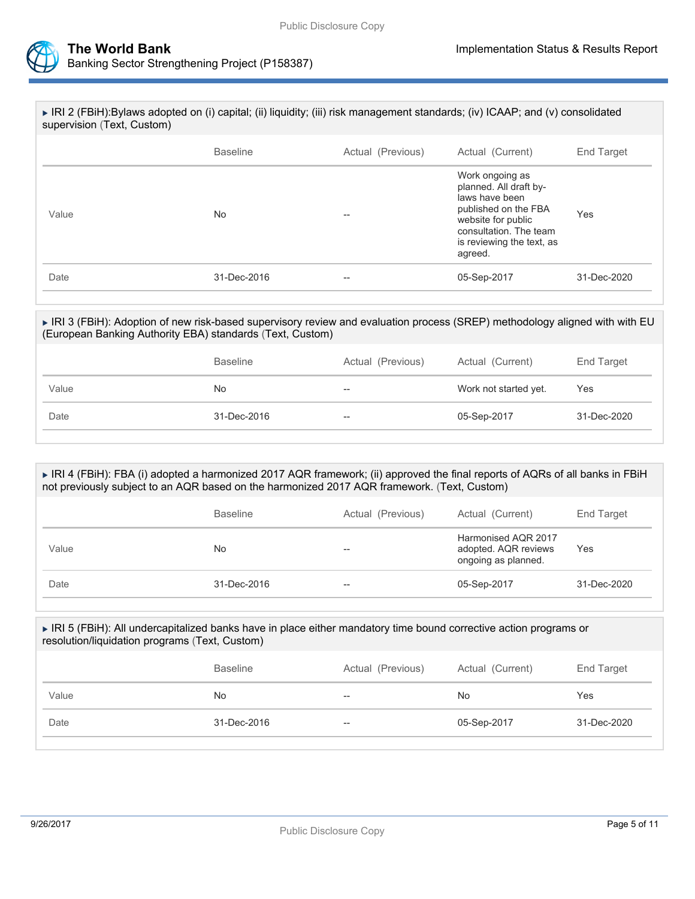



| ▶ IRI 2 (FBiH):Bylaws adopted on (i) capital; (ii) liquidity; (iii) risk management standards; (iv) ICAAP; and (v) consolidated<br>supervision (Text, Custom) |                 |                   |                                                                                                                                                                             |                   |  |  |
|---------------------------------------------------------------------------------------------------------------------------------------------------------------|-----------------|-------------------|-----------------------------------------------------------------------------------------------------------------------------------------------------------------------------|-------------------|--|--|
|                                                                                                                                                               | <b>Baseline</b> | Actual (Previous) | Actual (Current)                                                                                                                                                            | <b>End Target</b> |  |  |
| Value                                                                                                                                                         | No              | --                | Work ongoing as<br>planned. All draft by-<br>laws have been<br>published on the FBA<br>website for public<br>consultation. The team<br>is reviewing the text, as<br>agreed. | Yes               |  |  |
| Date                                                                                                                                                          | 31-Dec-2016     | --                | 05-Sep-2017                                                                                                                                                                 | 31-Dec-2020       |  |  |

### IRI 3 (FBiH): Adoption of new risk-based supervisory review and evaluation process (SREP) methodology aligned with with EU (European Banking Authority EBA) standards (Text, Custom)

|       | <b>Baseline</b> | Actual (Previous)        | Actual (Current)      | End Target  |
|-------|-----------------|--------------------------|-----------------------|-------------|
| Value | No.             | $-$                      | Work not started yet. | Yes         |
| Date  | 31-Dec-2016     | $\overline{\phantom{m}}$ | 05-Sep-2017           | 31-Dec-2020 |

#### ► IRI 4 (FBiH): FBA (i) adopted a harmonized 2017 AQR framework; (ii) approved the final reports of AQRs of all banks in FBiH not previously subject to an AQR based on the harmonized 2017 AQR framework. (Text, Custom)

|       | <b>Baseline</b> | Actual (Previous) | Actual (Current)                                                   | End Target  |
|-------|-----------------|-------------------|--------------------------------------------------------------------|-------------|
| Value | No              | --                | Harmonised AQR 2017<br>adopted. AQR reviews<br>ongoing as planned. | Yes         |
| Date  | 31-Dec-2016     | $- -$             | 05-Sep-2017                                                        | 31-Dec-2020 |

#### ► IRI 5 (FBiH): All undercapitalized banks have in place either mandatory time bound corrective action programs or resolution/liquidation programs (Text, Custom)

|       | <b>Baseline</b> | Actual (Previous) | Actual (Current) | End Target  |
|-------|-----------------|-------------------|------------------|-------------|
| Value | No.             | $- -$             | <b>No</b>        | Yes         |
| Date  | 31-Dec-2016     | $\qquad \qquad -$ | 05-Sep-2017      | 31-Dec-2020 |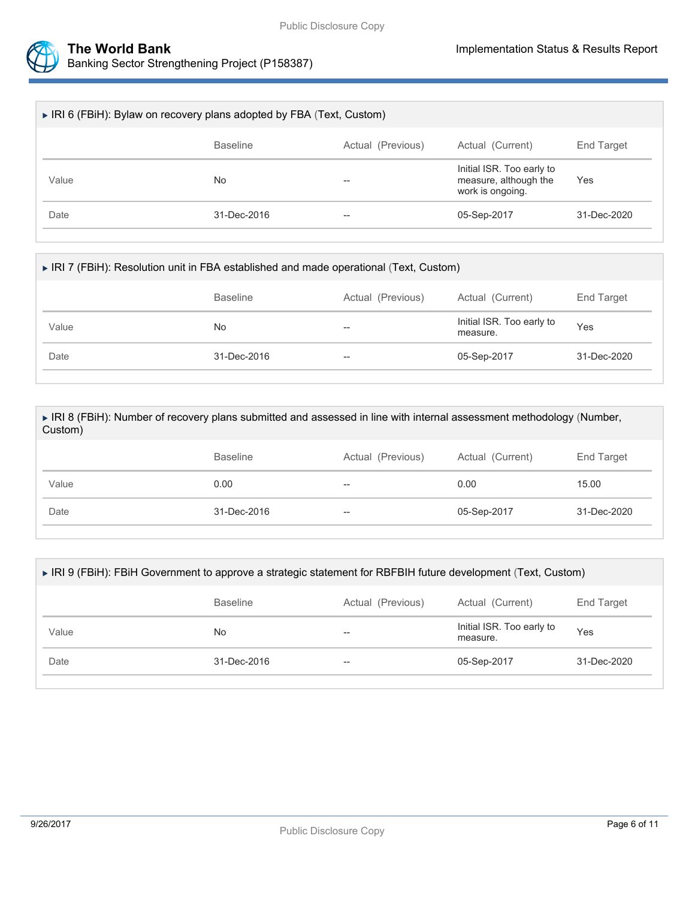



| ► IRI 6 (FBiH): Bylaw on recovery plans adopted by FBA (Text, Custom) |                 |                   |                                                                        |             |  |  |
|-----------------------------------------------------------------------|-----------------|-------------------|------------------------------------------------------------------------|-------------|--|--|
|                                                                       | <b>Baseline</b> | Actual (Previous) | Actual (Current)                                                       | End Target  |  |  |
| Value                                                                 | No              |                   | Initial ISR. Too early to<br>measure, although the<br>work is ongoing. | Yes         |  |  |
| Date                                                                  | 31-Dec-2016     | $- -$             | 05-Sep-2017                                                            | 31-Dec-2020 |  |  |
|                                                                       |                 |                   |                                                                        |             |  |  |

| ► IRI 7 (FBiH): Resolution unit in FBA established and made operational (Text, Custom) |                 |                   |                                       |             |  |
|----------------------------------------------------------------------------------------|-----------------|-------------------|---------------------------------------|-------------|--|
|                                                                                        | <b>Baseline</b> | Actual (Previous) | Actual (Current)                      | End Target  |  |
| Value                                                                                  | No              | $- -$             | Initial ISR. Too early to<br>measure. | Yes         |  |
| Date                                                                                   | 31-Dec-2016     | $- -$             | 05-Sep-2017                           | 31-Dec-2020 |  |

| ► IRI 8 (FBiH): Number of recovery plans submitted and assessed in line with internal assessment methodology (Number, |
|-----------------------------------------------------------------------------------------------------------------------|
| Custom)                                                                                                               |
|                                                                                                                       |

| Value<br>0.00       | $\overline{\phantom{a}}$ | 0.00        | 15.00       |
|---------------------|--------------------------|-------------|-------------|
| 31-Dec-2016<br>Date | $- -$                    | 05-Sep-2017 | 31-Dec-2020 |

| ► IRI 9 (FBiH): FBiH Government to approve a strategic statement for RBFBIH future development (Text, Custom) |                   |                   |                                       |             |  |  |
|---------------------------------------------------------------------------------------------------------------|-------------------|-------------------|---------------------------------------|-------------|--|--|
|                                                                                                               | <b>Baseline</b>   | Actual (Previous) | Actual (Current)                      | End Target  |  |  |
| Value                                                                                                         | No                | --                | Initial ISR. Too early to<br>measure. | Yes         |  |  |
| Date                                                                                                          | $31 - Dec - 2016$ | $- -$             | 05-Sep-2017                           | 31-Dec-2020 |  |  |
|                                                                                                               |                   |                   |                                       |             |  |  |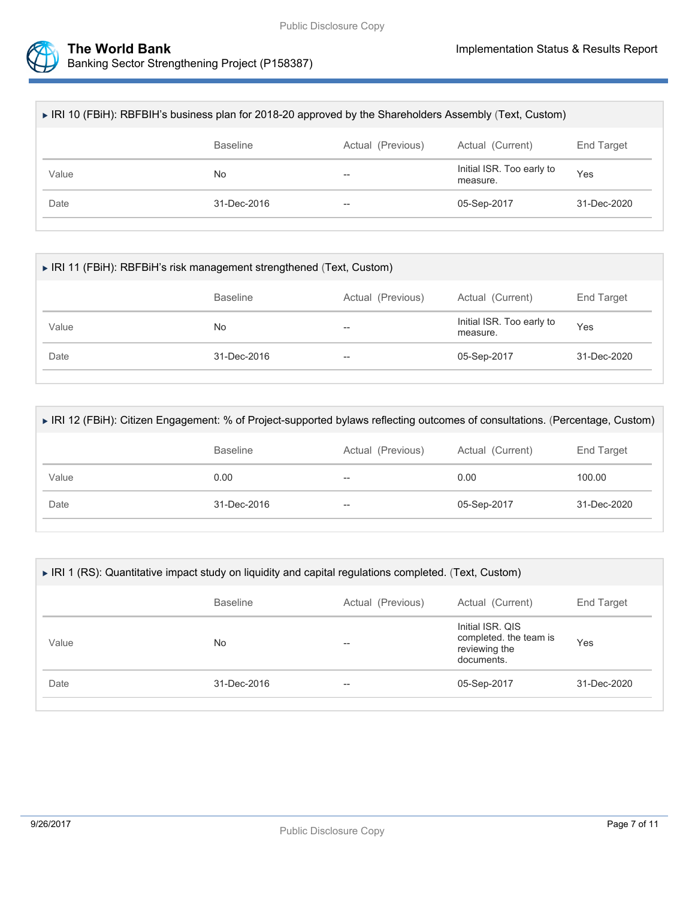



| ► IRI 10 (FBiH): RBFBIH's business plan for 2018-20 approved by the Shareholders Assembly (Text, Custom) |                          |                                       |             |  |  |  |
|----------------------------------------------------------------------------------------------------------|--------------------------|---------------------------------------|-------------|--|--|--|
| <b>Baseline</b>                                                                                          | Actual (Previous)        | Actual (Current)                      | End Target  |  |  |  |
| No                                                                                                       | --                       | Initial ISR. Too early to<br>measure. | Yes         |  |  |  |
| $31 - Dec - 2016$                                                                                        | $\overline{\phantom{m}}$ | 05-Sep-2017                           | 31-Dec-2020 |  |  |  |
|                                                                                                          |                          |                                       |             |  |  |  |

| ► IRI 11 (FBiH): RBFBiH's risk management strengthened (Text, Custom) |                 |                   |                                       |             |  |  |
|-----------------------------------------------------------------------|-----------------|-------------------|---------------------------------------|-------------|--|--|
|                                                                       | <b>Baseline</b> | Actual (Previous) | Actual (Current)                      | End Target  |  |  |
| Value                                                                 | No              | $- -$             | Initial ISR. Too early to<br>measure. | Yes         |  |  |
| Date                                                                  | 31-Dec-2016     | $- -$             | 05-Sep-2017                           | 31-Dec-2020 |  |  |
|                                                                       |                 |                   |                                       |             |  |  |

| ▶ IRI 12 (FBiH): Citizen Engagement: % of Project-supported bylaws reflecting outcomes of consultations. (Percentage, Custom) |                   |                   |                  |             |
|-------------------------------------------------------------------------------------------------------------------------------|-------------------|-------------------|------------------|-------------|
|                                                                                                                               | <b>Baseline</b>   | Actual (Previous) | Actual (Current) | End Target  |
| Value                                                                                                                         | 0.00              | --                | 0.00             | 100.00      |
| Date                                                                                                                          | $31 - Dec - 2016$ | $- -$             | 05-Sep-2017      | 31-Dec-2020 |
|                                                                                                                               |                   |                   |                  |             |

| ► IRI 1 (RS): Quantitative impact study on liquidity and capital regulations completed. (Text, Custom) |                 |                   |                                                                           |             |
|--------------------------------------------------------------------------------------------------------|-----------------|-------------------|---------------------------------------------------------------------------|-------------|
|                                                                                                        | <b>Baseline</b> | Actual (Previous) | Actual (Current)                                                          | End Target  |
| Value                                                                                                  | No              | --                | Initial ISR, QIS<br>completed, the team is<br>reviewing the<br>documents. | Yes         |
| Date                                                                                                   | 31-Dec-2016     | --                | 05-Sep-2017                                                               | 31-Dec-2020 |
|                                                                                                        |                 |                   |                                                                           |             |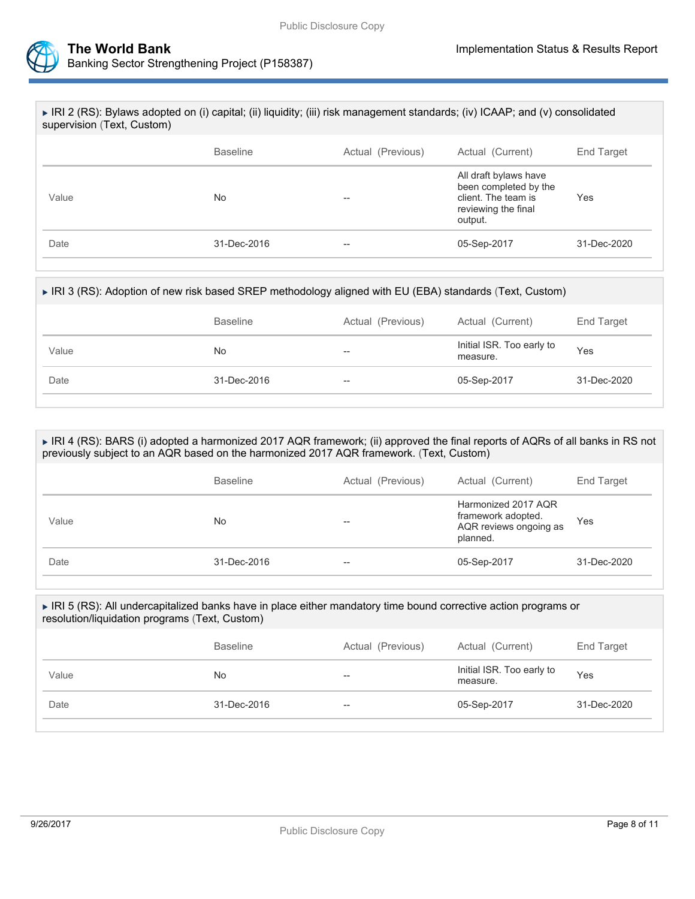



| ▶ IRI 2 (RS): Bylaws adopted on (i) capital; (ii) liquidity; (iii) risk management standards; (iv) ICAAP; and (v) consolidated<br>supervision (Text, Custom) |                   |                   |                                                                                                         |                   |
|--------------------------------------------------------------------------------------------------------------------------------------------------------------|-------------------|-------------------|---------------------------------------------------------------------------------------------------------|-------------------|
|                                                                                                                                                              | <b>Baseline</b>   | Actual (Previous) | Actual (Current)                                                                                        | <b>End Target</b> |
| Value                                                                                                                                                        | No.               | --                | All draft bylaws have<br>been completed by the<br>client. The team is<br>reviewing the final<br>output. | Yes               |
| Date                                                                                                                                                         | $31 - Dec - 2016$ | --                | 05-Sep-2017                                                                                             | $31 - Dec - 2020$ |
|                                                                                                                                                              |                   |                   |                                                                                                         |                   |

| ► IRI 3 (RS): Adoption of new risk based SREP methodology aligned with EU (EBA) standards (Text, Custom) |                 |                   |                                       |             |  |
|----------------------------------------------------------------------------------------------------------|-----------------|-------------------|---------------------------------------|-------------|--|
|                                                                                                          | <b>Baseline</b> | Actual (Previous) | Actual (Current)                      | End Target  |  |
| Value                                                                                                    | No              | --                | Initial ISR. Too early to<br>measure. | Yes         |  |
| Date                                                                                                     | 31-Dec-2016     | --                | 05-Sep-2017                           | 31-Dec-2020 |  |
|                                                                                                          |                 |                   |                                       |             |  |

#### IRI 4 (RS): BARS (i) adopted a harmonized 2017 AQR framework; (ii) approved the final reports of AQRs of all banks in RS not previously subject to an AQR based on the harmonized 2017 AQR framework. (Text, Custom)

|       | <b>Baseline</b> | Actual (Previous) | Actual (Current)                                                                | End Target  |
|-------|-----------------|-------------------|---------------------------------------------------------------------------------|-------------|
| Value | No              | --                | Harmonized 2017 AQR<br>framework adopted.<br>AQR reviews ongoing as<br>planned. | Yes         |
| Date  | 31-Dec-2016     | $- -$             | 05-Sep-2017                                                                     | 31-Dec-2020 |

#### IRI 5 (RS): All undercapitalized banks have in place either mandatory time bound corrective action programs or resolution/liquidation programs (Text, Custom)

|       | <b>Baseline</b> | Actual (Previous) | Actual (Current)                      | End Target  |
|-------|-----------------|-------------------|---------------------------------------|-------------|
| Value | No.             | --                | Initial ISR. Too early to<br>measure. | Yes         |
| Date  | 31-Dec-2016     | $- -$             | 05-Sep-2017                           | 31-Dec-2020 |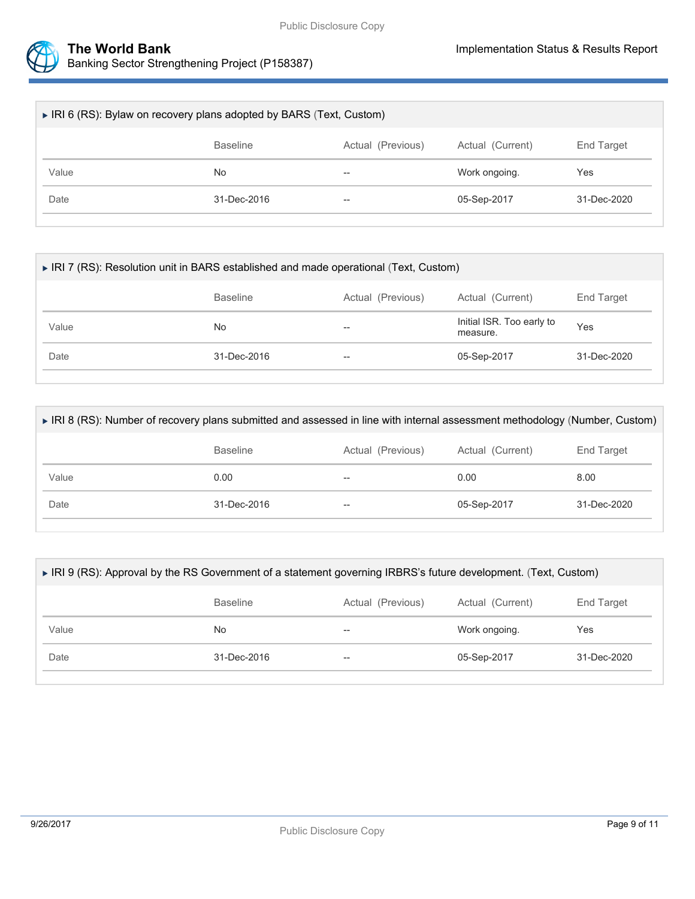

| ► IRI 6 (RS): Bylaw on recovery plans adopted by BARS (Text, Custom) |                   |                   |                  |                   |
|----------------------------------------------------------------------|-------------------|-------------------|------------------|-------------------|
|                                                                      | <b>Baseline</b>   | Actual (Previous) | Actual (Current) | End Target        |
| Value                                                                | No                | $- -$             | Work ongoing.    | Yes               |
| Date                                                                 | $31 - Dec - 2016$ | $- -$             | 05-Sep-2017      | $31 - Dec - 2020$ |
|                                                                      |                   |                   |                  |                   |

| ► IRI 7 (RS): Resolution unit in BARS established and made operational (Text, Custom) |                 |                   |                                       |             |
|---------------------------------------------------------------------------------------|-----------------|-------------------|---------------------------------------|-------------|
|                                                                                       | <b>Baseline</b> | Actual (Previous) | Actual (Current)                      | End Target  |
| Value                                                                                 | No.             | --                | Initial ISR. Too early to<br>measure. | Yes         |
| Date                                                                                  | 31-Dec-2016     | $- -$             | 05-Sep-2017                           | 31-Dec-2020 |

| ► IRI 8 (RS): Number of recovery plans submitted and assessed in line with internal assessment methodology (Number, Custom) |                   |                   |                  |             |
|-----------------------------------------------------------------------------------------------------------------------------|-------------------|-------------------|------------------|-------------|
|                                                                                                                             | <b>Baseline</b>   | Actual (Previous) | Actual (Current) | End Target  |
| Value                                                                                                                       | 0.00              | --                | 0.00             | 8.00        |
| Date                                                                                                                        | $31 - Dec - 2016$ | $- -$             | 05-Sep-2017      | 31-Dec-2020 |
|                                                                                                                             |                   |                   |                  |             |

| ► IRI 9 (RS): Approval by the RS Government of a statement governing IRBRS's future development. (Text, Custom) |                   |                   |                  |             |
|-----------------------------------------------------------------------------------------------------------------|-------------------|-------------------|------------------|-------------|
|                                                                                                                 | <b>Baseline</b>   | Actual (Previous) | Actual (Current) | End Target  |
| Value                                                                                                           | No                | --                | Work ongoing.    | Yes         |
| Date                                                                                                            | $31 - Dec - 2016$ | $- -$             | 05-Sep-2017      | 31-Dec-2020 |
|                                                                                                                 |                   |                   |                  |             |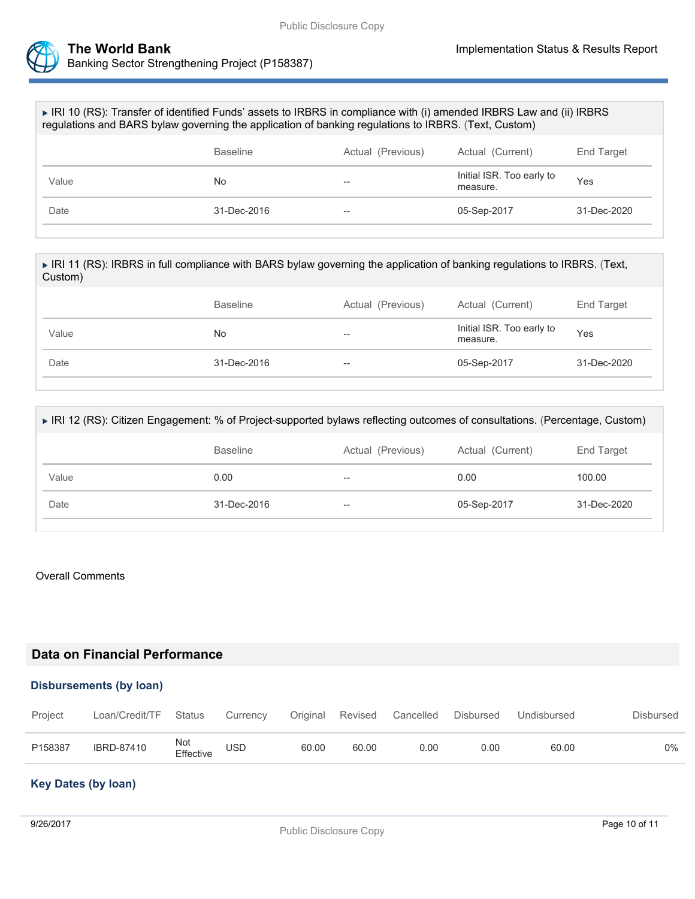

| ► IRI 10 (RS): Transfer of identified Funds' assets to IRBRS in compliance with (i) amended IRBRS Law and (ii) IRBRS<br>regulations and BARS bylaw governing the application of banking regulations to IRBRS. (Text, Custom) |                   |                   |                                       |             |
|------------------------------------------------------------------------------------------------------------------------------------------------------------------------------------------------------------------------------|-------------------|-------------------|---------------------------------------|-------------|
|                                                                                                                                                                                                                              | <b>Baseline</b>   | Actual (Previous) | Actual (Current)                      | End Target  |
| Value                                                                                                                                                                                                                        | No                | --                | Initial ISR. Too early to<br>measure. | Yes         |
| Date                                                                                                                                                                                                                         | $31 - Dec - 2016$ | $- -$             | 05-Sep-2017                           | 31-Dec-2020 |
|                                                                                                                                                                                                                              |                   |                   |                                       |             |

| ► IRI 11 (RS): IRBRS in full compliance with BARS bylaw governing the application of banking regulations to IRBRS. (Text,<br>Custom) |                   |                   |                                       |             |
|--------------------------------------------------------------------------------------------------------------------------------------|-------------------|-------------------|---------------------------------------|-------------|
|                                                                                                                                      | <b>Baseline</b>   | Actual (Previous) | Actual (Current)                      | End Target  |
| Value                                                                                                                                | No                | --                | Initial ISR. Too early to<br>measure. | Yes         |
| Date                                                                                                                                 | $31 - Dec - 2016$ | --                | 05-Sep-2017                           | 31-Dec-2020 |
|                                                                                                                                      |                   |                   |                                       |             |

| ▶ IRI 12 (RS): Citizen Engagement: % of Project-supported bylaws reflecting outcomes of consultations. (Percentage, Custom) |                 |                   |                  |                   |  |  |  |
|-----------------------------------------------------------------------------------------------------------------------------|-----------------|-------------------|------------------|-------------------|--|--|--|
|                                                                                                                             | <b>Baseline</b> | Actual (Previous) | Actual (Current) | <b>End Target</b> |  |  |  |
| Value                                                                                                                       | 0.00            | --                | 0.00             | 100.00            |  |  |  |
| Date                                                                                                                        | 31-Dec-2016     | --                | 05-Sep-2017      | 31-Dec-2020       |  |  |  |
|                                                                                                                             |                 |                   |                  |                   |  |  |  |

### Overall Comments

# **Data on Financial Performance**

# **Disbursements (by loan)**

| Project | Loan/Credit/TF Status Currency Original Revised Cancelled Disbursed Undisbursed |                  |            |       |       |      |      |       | Disbursed |
|---------|---------------------------------------------------------------------------------|------------------|------------|-------|-------|------|------|-------|-----------|
| P158387 | <b>IBRD-87410</b>                                                               | Not<br>Effective | <b>USD</b> | 60.00 | 60.00 | 0.00 | 0.00 | 60.00 | 0%        |

# **Key Dates (by loan)**